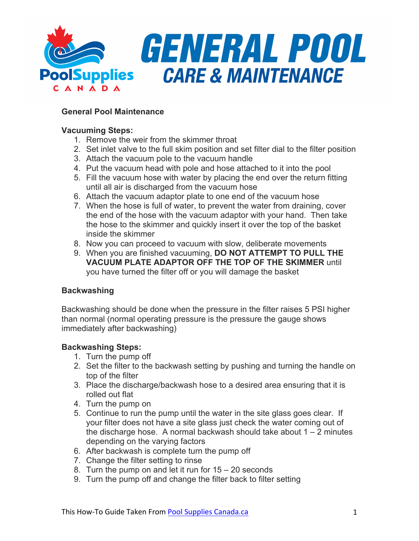

# **General Pool Maintenance**

### **Vacuuming Steps:**

- 1. Remove the weir from the skimmer throat
- 2. Set inlet valve to the full skim position and set filter dial to the filter position
- 3. Attach the vacuum pole to the vacuum handle
- 4. Put the vacuum head with pole and hose attached to it into the pool
- 5. Fill the vacuum hose with water by placing the end over the return fitting until all air is discharged from the vacuum hose
- 6. Attach the vacuum adaptor plate to one end of the vacuum hose
- 7. When the hose is full of water, to prevent the water from draining, cover the end of the hose with the vacuum adaptor with your hand. Then take the hose to the skimmer and quickly insert it over the top of the basket inside the skimmer
- 8. Now you can proceed to vacuum with slow, deliberate movements
- 9. When you are finished vacuuming, **DO NOT ATTEMPT TO PULL THE VACUUM PLATE ADAPTOR OFF THE TOP OF THE SKIMMER** until you have turned the filter off or you will damage the basket

## **Backwashing**

Backwashing should be done when the pressure in the filter raises 5 PSI higher than normal (normal operating pressure is the pressure the gauge shows immediately after backwashing)

## **Backwashing Steps:**

- 1. Turn the pump off
- 2. Set the filter to the backwash setting by pushing and turning the handle on top of the filter
- 3. Place the discharge/backwash hose to a desired area ensuring that it is rolled out flat
- 4. Turn the pump on
- 5. Continue to run the pump until the water in the site glass goes clear. If your filter does not have a site glass just check the water coming out of the discharge hose. A normal backwash should take about  $1 - 2$  minutes depending on the varying factors
- 6. After backwash is complete turn the pump off
- 7. Change the filter setting to rinse
- 8. Turn the pump on and let it run for 15 20 seconds
- 9. Turn the pump off and change the filter back to filter setting